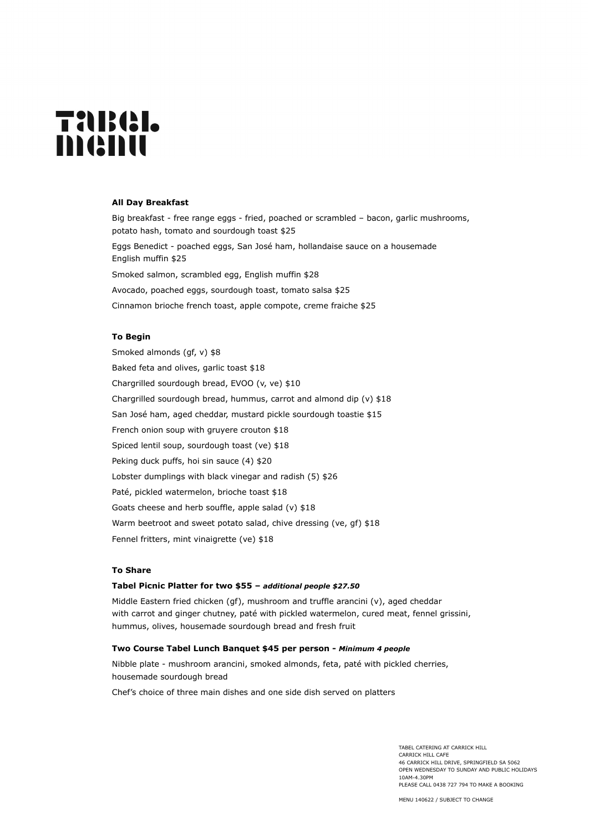# **TARGI.** menu

#### **All Day Breakfast**

Big breakfast - free range eggs - fried, poached or scrambled – bacon, garlic mushrooms, potato hash, tomato and sourdough toast \$25 Eggs Benedict - poached eggs, San José ham, hollandaise sauce on a housemade English muffin \$25 Smoked salmon, scrambled egg, English muffin \$28 Avocado, poached eggs, sourdough toast, tomato salsa \$25 Cinnamon brioche french toast, apple compote, creme fraiche \$25

#### **To Begin**

Smoked almonds (qf, v) \$8 Baked feta and olives, garlic toast \$18 Chargrilled sourdough bread, EVOO (v, ve) \$10 Chargrilled sourdough bread, hummus, carrot and almond dip (v) \$18 San José ham, aged cheddar, mustard pickle sourdough toastie \$15 French onion soup with gruyere crouton \$18 Spiced lentil soup, sourdough toast (ve) \$18 Peking duck puffs, hoi sin sauce (4) \$20 Lobster dumplings with black vinegar and radish (5) \$26 Paté, pickled watermelon, brioche toast \$18 Goats cheese and herb souffle, apple salad (v) \$18 Warm beetroot and sweet potato salad, chive dressing (ve, gf) \$18 Fennel fritters, mint vinaigrette (ve) \$18

# **To Share**

#### **Tabel Picnic Platter for two \$55 –** *additional people \$27.50*

Middle Eastern fried chicken (gf), mushroom and truffle arancini (v), aged cheddar with carrot and ginger chutney, paté with pickled watermelon, cured meat, fennel grissini, hummus, olives, housemade sourdough bread and fresh fruit

# **Two Course Tabel Lunch Banquet \$45 per person -** *Minimum 4 people*

Nibble plate - mushroom arancini, smoked almonds, feta, paté with pickled cherries, housemade sourdough bread

Chef's choice of three main dishes and one side dish served on platters

TABEL CATERING AT CARRICK HILL CARRICK HILL CAFE 46 CARRICK HILL DRIVE, SPRINGFIELD SA 5062 OPEN WEDNESDAY TO SUNDAY AND PUBLIC HOLIDAYS 10AM-4.30PM PLEASE CALL 0438 727 794 TO MAKE A BOOKING